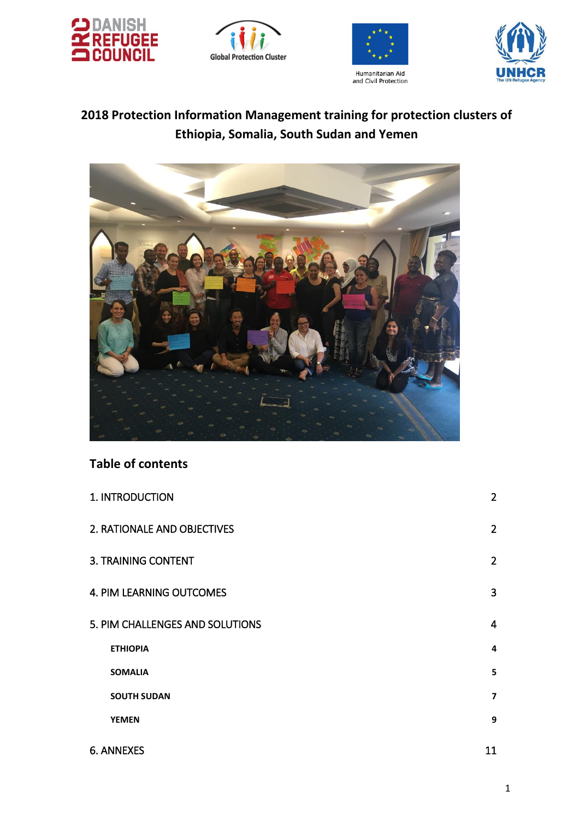







# **2018 Protection Information Management training for protection clusters of Ethiopia, Somalia, South Sudan and Yemen**



# **Table of contents**

| 1. INTRODUCTION                 | $\overline{2}$ |
|---------------------------------|----------------|
| 2. RATIONALE AND OBJECTIVES     | $\overline{2}$ |
| <b>3. TRAINING CONTENT</b>      | $\overline{2}$ |
| 4. PIM LEARNING OUTCOMES        | 3              |
| 5. PIM CHALLENGES AND SOLUTIONS | $\overline{4}$ |
| <b>ETHIOPIA</b>                 | $\overline{a}$ |
| <b>SOMALIA</b>                  | 5              |
| <b>SOUTH SUDAN</b>              | $\overline{7}$ |
| <b>YEMEN</b>                    | 9              |
| <b>6. ANNEXES</b>               | 11             |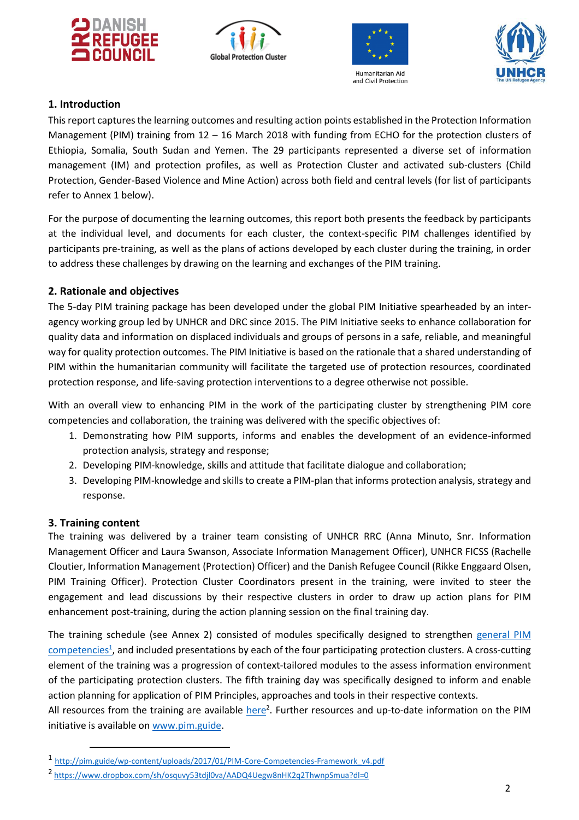







## <span id="page-1-0"></span>**1. Introduction**

This report captures the learning outcomes and resulting action points established in the Protection Information Management (PIM) training from 12 – 16 March 2018 with funding from ECHO for the protection clusters of Ethiopia, Somalia, South Sudan and Yemen. The 29 participants represented a diverse set of information management (IM) and protection profiles, as well as Protection Cluster and activated sub-clusters (Child Protection, Gender-Based Violence and Mine Action) across both field and central levels (for list of participants refer to Annex 1 below).

For the purpose of documenting the learning outcomes, this report both presents the feedback by participants at the individual level, and documents for each cluster, the context-specific PIM challenges identified by participants pre-training, as well as the plans of actions developed by each cluster during the training, in order to address these challenges by drawing on the learning and exchanges of the PIM training.

## <span id="page-1-1"></span>**2. Rationale and objectives**

The 5-day PIM training package has been developed under the global PIM Initiative spearheaded by an interagency working group led by UNHCR and DRC since 2015. The PIM Initiative seeks to enhance collaboration for quality data and information on displaced individuals and groups of persons in a safe, reliable, and meaningful way for quality protection outcomes. The PIM Initiative is based on the rationale that a shared understanding of PIM within the humanitarian community will facilitate the targeted use of protection resources, coordinated protection response, and life-saving protection interventions to a degree otherwise not possible.

With an overall view to enhancing PIM in the work of the participating cluster by strengthening PIM core competencies and collaboration, the training was delivered with the specific objectives of:

- 1. Demonstrating how PIM supports, informs and enables the development of an evidence-informed protection analysis, strategy and response;
- 2. Developing PIM-knowledge, skills and attitude that facilitate dialogue and collaboration;
- 3. Developing PIM-knowledge and skills to create a PIM-plan that informs protection analysis, strategy and response.

#### <span id="page-1-2"></span>**3. Training content**

 $\overline{a}$ 

The training was delivered by a trainer team consisting of UNHCR RRC (Anna Minuto, Snr. Information Management Officer and Laura Swanson, Associate Information Management Officer), UNHCR FICSS (Rachelle Cloutier, Information Management (Protection) Officer) and the Danish Refugee Council (Rikke Enggaard Olsen, PIM Training Officer). Protection Cluster Coordinators present in the training, were invited to steer the engagement and lead discussions by their respective clusters in order to draw up action plans for PIM enhancement post-training, during the action planning session on the final training day.

The training schedule (see Annex 2) consisted of modules specifically designed to strengthen [general PIM](http://pim.guide/wp-content/uploads/2017/01/PIM-Core-Competencies-Framework_v4.pdf)  [competencies](http://pim.guide/wp-content/uploads/2017/01/PIM-Core-Competencies-Framework_v4.pdf)<sup>1</sup>, and included presentations by each of the four participating protection clusters. A cross-cutting element of the training was a progression of context-tailored modules to the assess information environment of the participating protection clusters. The fifth training day was specifically designed to inform and enable action planning for application of PIM Principles, approaches and tools in their respective contexts.

All resources from the training are available *here*<sup>2</sup>. Further resources and up-to-date information on the PIM initiative is available o[n www.pim.guide.](http://www.pim.guide/)

<sup>1</sup> [http://pim.guide/wp-content/uploads/2017/01/PIM-Core-Competencies-Framework\\_v4.pdf](http://pim.guide/wp-content/uploads/2017/01/PIM-Core-Competencies-Framework_v4.pdf)

<sup>2</sup> <https://www.dropbox.com/sh/osquvy53tdjl0va/AADQ4Uegw8nHK2q2ThwnpSmua?dl=0>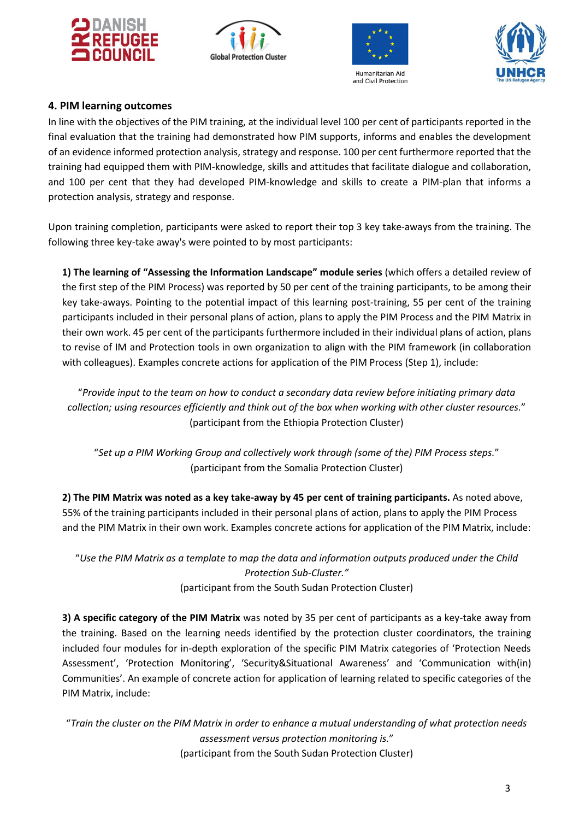







## <span id="page-2-0"></span>**4. PIM learning outcomes**

In line with the objectives of the PIM training, at the individual level 100 per cent of participants reported in the final evaluation that the training had demonstrated how PIM supports, informs and enables the development of an evidence informed protection analysis, strategy and response. 100 per cent furthermore reported that the training had equipped them with PIM-knowledge, skills and attitudes that facilitate dialogue and collaboration, and 100 per cent that they had developed PIM‐knowledge and skills to create a PIM‐plan that informs a protection analysis, strategy and response.

Upon training completion, participants were asked to report their top 3 key take‐aways from the training. The following three key-take away's were pointed to by most participants:

**1) The learning of "Assessing the Information Landscape" module series** (which offers a detailed review of the first step of the PIM Process) was reported by 50 per cent of the training participants, to be among their key take-aways. Pointing to the potential impact of this learning post-training, 55 per cent of the training participants included in their personal plans of action, plans to apply the PIM Process and the PIM Matrix in their own work. 45 per cent of the participants furthermore included in their individual plans of action, plans to revise of IM and Protection tools in own organization to align with the PIM framework (in collaboration with colleagues). Examples concrete actions for application of the PIM Process (Step 1), include:

"*Provide input to the team on how to conduct a secondary data review before initiating primary data collection; using resources efficiently and think out of the box when working with other cluster resources.*" (participant from the Ethiopia Protection Cluster)

"*Set up a PIM Working Group and collectively work through (some of the) PIM Process steps.*" (participant from the Somalia Protection Cluster)

**2) The PIM Matrix was noted as a key take-away by 45 per cent of training participants.** As noted above, 55% of the training participants included in their personal plans of action, plans to apply the PIM Process and the PIM Matrix in their own work. Examples concrete actions for application of the PIM Matrix, include:

"*Use the PIM Matrix as a template to map the data and information outputs produced under the Child Protection Sub-Cluster."* (participant from the South Sudan Protection Cluster)

**3) A specific category of the PIM Matrix** was noted by 35 per cent of participants as a key-take away from the training. Based on the learning needs identified by the protection cluster coordinators, the training included four modules for in-depth exploration of the specific PIM Matrix categories of 'Protection Needs Assessment', 'Protection Monitoring', 'Security&Situational Awareness' and 'Communication with(in) Communities'. An example of concrete action for application of learning related to specific categories of the PIM Matrix, include:

"*Train the cluster on the PIM Matrix in order to enhance a mutual understanding of what protection needs assessment versus protection monitoring is.*" (participant from the South Sudan Protection Cluster)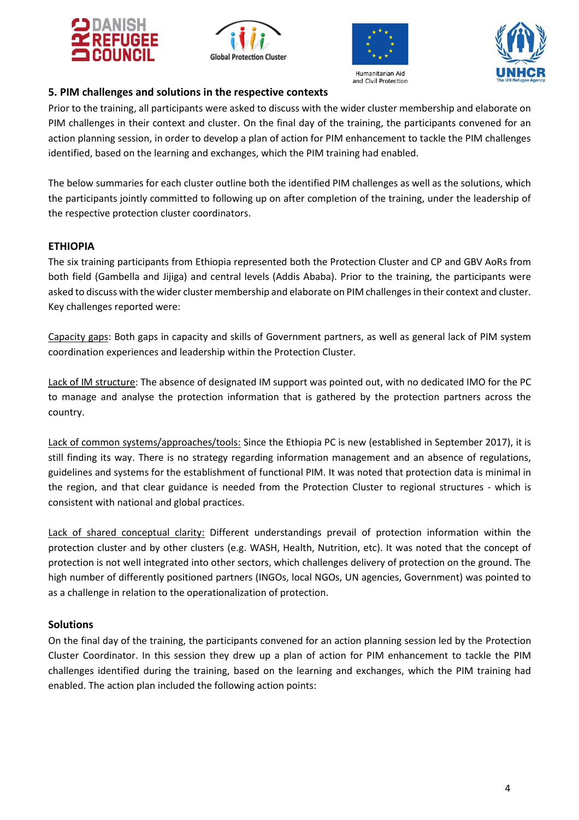







## <span id="page-3-0"></span>**5. PIM challenges and solutions in the respective contexts**

Prior to the training, all participants were asked to discuss with the wider cluster membership and elaborate on PIM challenges in their context and cluster. On the final day of the training, the participants convened for an action planning session, in order to develop a plan of action for PIM enhancement to tackle the PIM challenges identified, based on the learning and exchanges, which the PIM training had enabled.

The below summaries for each cluster outline both the identified PIM challenges as well as the solutions, which the participants jointly committed to following up on after completion of the training, under the leadership of the respective protection cluster coordinators.

## <span id="page-3-1"></span>**ETHIOPIA**

The six training participants from Ethiopia represented both the Protection Cluster and CP and GBV AoRs from both field (Gambella and Jijiga) and central levels (Addis Ababa). Prior to the training, the participants were asked to discuss with the wider cluster membership and elaborate on PIM challenges in their context and cluster. Key challenges reported were:

Capacity gaps: Both gaps in capacity and skills of Government partners, as well as general lack of PIM system coordination experiences and leadership within the Protection Cluster.

Lack of IM structure: The absence of designated IM support was pointed out, with no dedicated IMO for the PC to manage and analyse the protection information that is gathered by the protection partners across the country.

Lack of common systems/approaches/tools: Since the Ethiopia PC is new (established in September 2017), it is still finding its way. There is no strategy regarding information management and an absence of regulations, guidelines and systems for the establishment of functional PIM. It was noted that protection data is minimal in the region, and that clear guidance is needed from the Protection Cluster to regional structures - which is consistent with national and global practices.

Lack of shared conceptual clarity: Different understandings prevail of protection information within the protection cluster and by other clusters (e.g. WASH, Health, Nutrition, etc). It was noted that the concept of protection is not well integrated into other sectors, which challenges delivery of protection on the ground. The high number of differently positioned partners (INGOs, local NGOs, UN agencies, Government) was pointed to as a challenge in relation to the operationalization of protection.

## **Solutions**

On the final day of the training, the participants convened for an action planning session led by the Protection Cluster Coordinator. In this session they drew up a plan of action for PIM enhancement to tackle the PIM challenges identified during the training, based on the learning and exchanges, which the PIM training had enabled. The action plan included the following action points: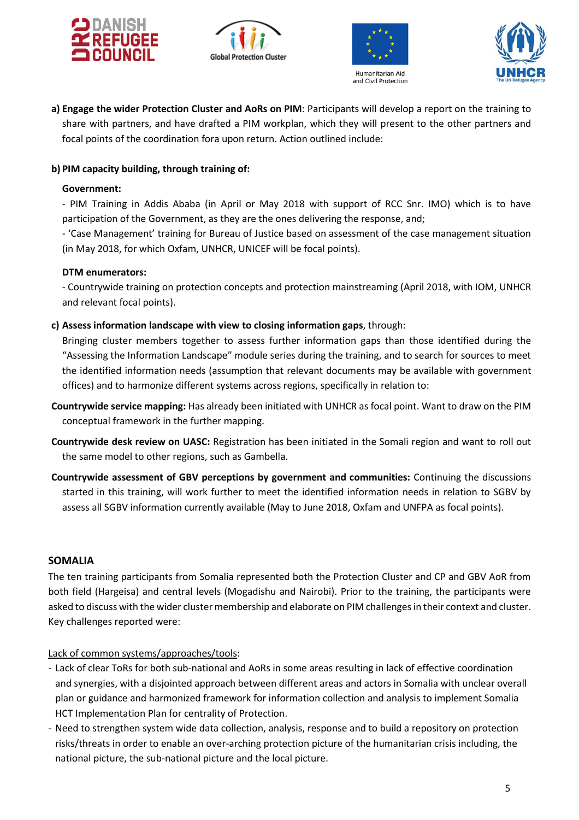







**a) Engage the wider Protection Cluster and AoRs on PIM**: Participants will develop a report on the training to share with partners, and have drafted a PIM workplan, which they will present to the other partners and focal points of the coordination fora upon return. Action outlined include:

#### **b) PIM capacity building, through training of:**

#### **Government:**

- PIM Training in Addis Ababa (in April or May 2018 with support of RCC Snr. IMO) which is to have participation of the Government, as they are the ones delivering the response, and;

- 'Case Management' training for Bureau of Justice based on assessment of the case management situation (in May 2018, for which Oxfam, UNHCR, UNICEF will be focal points).

#### **DTM enumerators:**

- Countrywide training on protection concepts and protection mainstreaming (April 2018, with IOM, UNHCR and relevant focal points).

#### **c) Assess information landscape with view to closing information gaps**, through:

Bringing cluster members together to assess further information gaps than those identified during the "Assessing the Information Landscape" module series during the training, and to search for sources to meet the identified information needs (assumption that relevant documents may be available with government offices) and to harmonize different systems across regions, specifically in relation to:

- **Countrywide service mapping:** Has already been initiated with UNHCR as focal point. Want to draw on the PIM conceptual framework in the further mapping.
- **Countrywide desk review on UASC:** Registration has been initiated in the Somali region and want to roll out the same model to other regions, such as Gambella.
- **Countrywide assessment of GBV perceptions by government and communities:** Continuing the discussions started in this training, will work further to meet the identified information needs in relation to SGBV by assess all SGBV information currently available (May to June 2018, Oxfam and UNFPA as focal points).

#### <span id="page-4-0"></span>**SOMALIA**

The ten training participants from Somalia represented both the Protection Cluster and CP and GBV AoR from both field (Hargeisa) and central levels (Mogadishu and Nairobi). Prior to the training, the participants were asked to discuss with the wider cluster membership and elaborate on PIM challenges in their context and cluster. Key challenges reported were:

#### Lack of common systems/approaches/tools:

- Lack of clear ToRs for both sub-national and AoRs in some areas resulting in lack of effective coordination and synergies, with a disjointed approach between different areas and actors in Somalia with unclear overall plan or guidance and harmonized framework for information collection and analysis to implement Somalia HCT Implementation Plan for centrality of Protection.
- Need to strengthen system wide data collection, analysis, response and to build a repository on protection risks/threats in order to enable an over-arching protection picture of the humanitarian crisis including, the national picture, the sub-national picture and the local picture.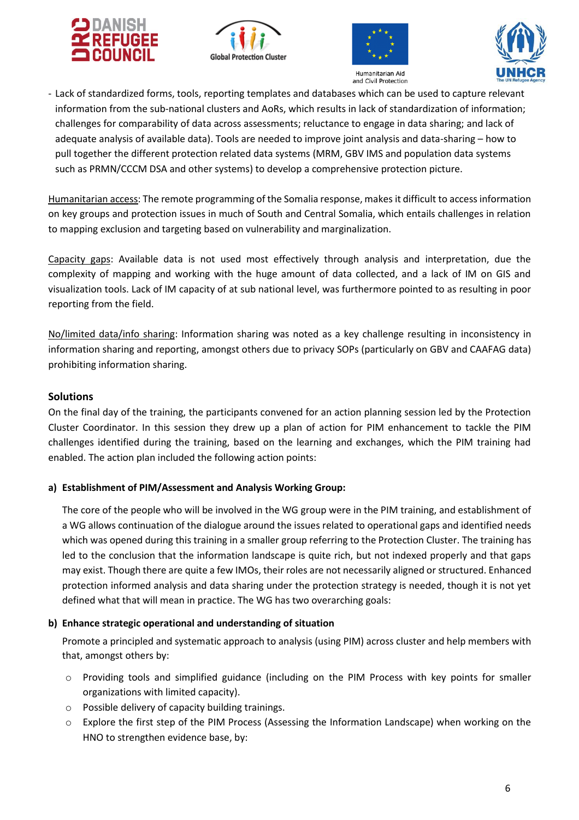







- Lack of standardized forms, tools, reporting templates and databases which can be used to capture relevant information from the sub-national clusters and AoRs, which results in lack of standardization of information; challenges for comparability of data across assessments; reluctance to engage in data sharing; and lack of adequate analysis of available data). Tools are needed to improve joint analysis and data-sharing – how to pull together the different protection related data systems (MRM, GBV IMS and population data systems such as PRMN/CCCM DSA and other systems) to develop a comprehensive protection picture.

Humanitarian access: The remote programming of the Somalia response, makes it difficult to access information on key groups and protection issues in much of South and Central Somalia, which entails challenges in relation to mapping exclusion and targeting based on vulnerability and marginalization.

Capacity gaps: Available data is not used most effectively through analysis and interpretation, due the complexity of mapping and working with the huge amount of data collected, and a lack of IM on GIS and visualization tools. Lack of IM capacity of at sub national level, was furthermore pointed to as resulting in poor reporting from the field.

No/limited data/info sharing: Information sharing was noted as a key challenge resulting in inconsistency in information sharing and reporting, amongst others due to privacy SOPs (particularly on GBV and CAAFAG data) prohibiting information sharing.

## **Solutions**

On the final day of the training, the participants convened for an action planning session led by the Protection Cluster Coordinator. In this session they drew up a plan of action for PIM enhancement to tackle the PIM challenges identified during the training, based on the learning and exchanges, which the PIM training had enabled. The action plan included the following action points:

#### **a) Establishment of PIM/Assessment and Analysis Working Group:**

The core of the people who will be involved in the WG group were in the PIM training, and establishment of a WG allows continuation of the dialogue around the issues related to operational gaps and identified needs which was opened during this training in a smaller group referring to the Protection Cluster. The training has led to the conclusion that the information landscape is quite rich, but not indexed properly and that gaps may exist. Though there are quite a few IMOs, their roles are not necessarily aligned or structured. Enhanced protection informed analysis and data sharing under the protection strategy is needed, though it is not yet defined what that will mean in practice. The WG has two overarching goals:

## **b) Enhance strategic operational and understanding of situation**

Promote a principled and systematic approach to analysis (using PIM) across cluster and help members with that, amongst others by:

- o Providing tools and simplified guidance (including on the PIM Process with key points for smaller organizations with limited capacity).
- o Possible delivery of capacity building trainings.
- o Explore the first step of the PIM Process (Assessing the Information Landscape) when working on the HNO to strengthen evidence base, by: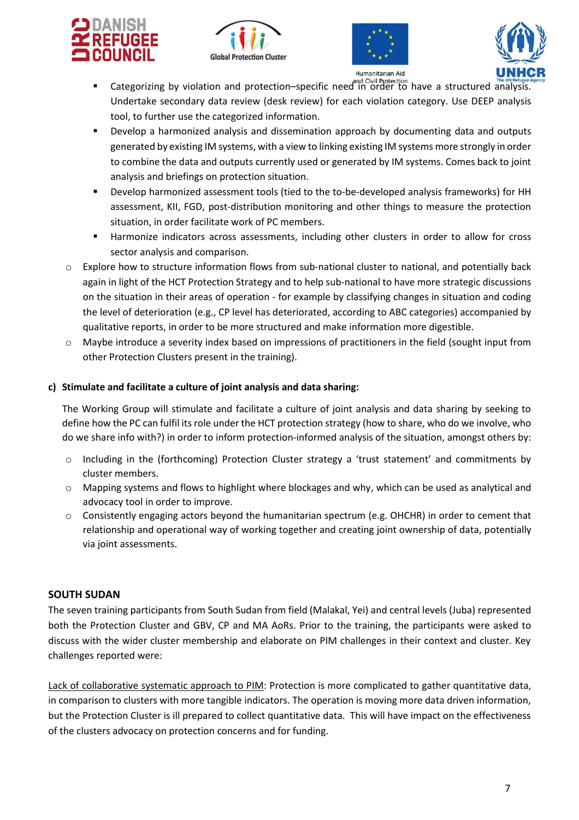







- **The UN Refugee**<br>.Categorizing by violation and protection–specific need in order to have a structured analysis. Undertake secondary data review (desk review) for each violation category. Use DEEP analysis tool, to further use the categorized information.
- Develop a harmonized analysis and dissemination approach by documenting data and outputs generated by existing IM systems, with a view to linking existing IM systems more strongly in order to combine the data and outputs currently used or generated by IM systems. Comes back to joint analysis and briefings on protection situation.
- Develop harmonized assessment tools (tied to the to-be-developed analysis frameworks) for HH assessment, KII, FGD, post-distribution monitoring and other things to measure the protection situation, in order facilitate work of PC members.
- Harmonize indicators across assessments, including other clusters in order to allow for cross sector analysis and comparison.
- $\circ$  Explore how to structure information flows from sub-national cluster to national, and potentially back again in light of the HCT Protection Strategy and to help sub-national to have more strategic discussions on the situation in their areas of operation - for example by classifying changes in situation and coding the level of deterioration (e.g., CP level has deteriorated, according to ABC categories) accompanied by qualitative reports, in order to be more structured and make information more digestible.
- o Maybe introduce a severity index based on impressions of practitioners in the field (sought input from other Protection Clusters present in the training).

## **c) Stimulate and facilitate a culture of joint analysis and data sharing:**

The Working Group will stimulate and facilitate a culture of joint analysis and data sharing by seeking to define how the PC can fulfil its role under the HCT protection strategy (how to share, who do we involve, who do we share info with?) in order to inform protection-informed analysis of the situation, amongst others by:

- o Including in the (forthcoming) Protection Cluster strategy a 'trust statement' and commitments by cluster members.
- o Mapping systems and flows to highlight where blockages and why, which can be used as analytical and advocacy tool in order to improve.
- $\circ$  Consistently engaging actors beyond the humanitarian spectrum (e.g. OHCHR) in order to cement that relationship and operational way of working together and creating joint ownership of data, potentially via joint assessments.

## <span id="page-6-0"></span>**SOUTH SUDAN**

The seven training participants from South Sudan from field (Malakal, Yei) and central levels (Juba) represented both the Protection Cluster and GBV, CP and MA AoRs. Prior to the training, the participants were asked to discuss with the wider cluster membership and elaborate on PIM challenges in their context and cluster. Key challenges reported were:

Lack of collaborative systematic approach to PIM: Protection is more complicated to gather quantitative data, in comparison to clusters with more tangible indicators. The operation is moving more data driven information, but the Protection Cluster is ill prepared to collect quantitative data. This will have impact on the effectiveness of the clusters advocacy on protection concerns and for funding.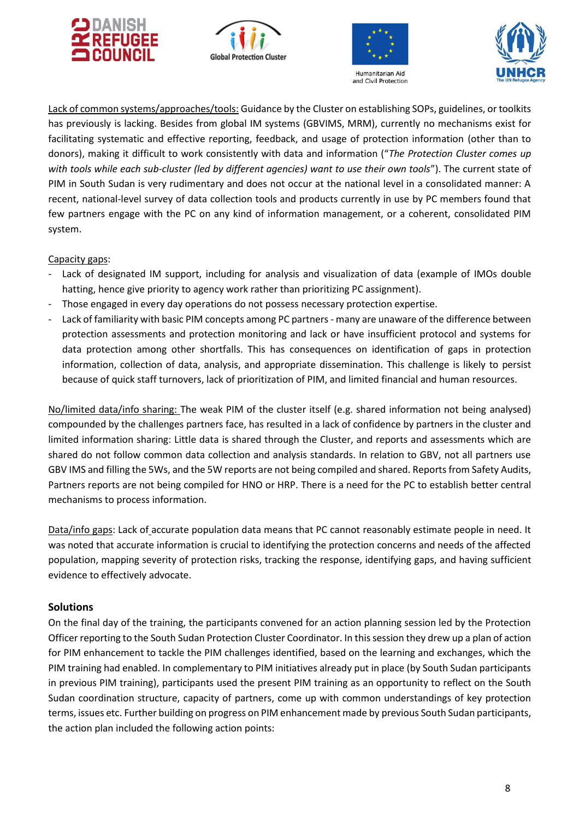







Lack of common systems/approaches/tools: Guidance by the Cluster on establishing SOPs, guidelines, or toolkits has previously is lacking. Besides from global IM systems (GBVIMS, MRM), currently no mechanisms exist for facilitating systematic and effective reporting, feedback, and usage of protection information (other than to donors), making it difficult to work consistently with data and information ("*The Protection Cluster comes up with tools while each sub-cluster (led by different agencies) want to use their own tools*"). The current state of PIM in South Sudan is very rudimentary and does not occur at the national level in a consolidated manner: A recent, national-level survey of data collection tools and products currently in use by PC members found that few partners engage with the PC on any kind of information management, or a coherent, consolidated PIM system.

Capacity gaps:

- Lack of designated IM support, including for analysis and visualization of data (example of IMOs double hatting, hence give priority to agency work rather than prioritizing PC assignment).
- Those engaged in every day operations do not possess necessary protection expertise.
- Lack of familiarity with basic PIM concepts among PC partners many are unaware of the difference between protection assessments and protection monitoring and lack or have insufficient protocol and systems for data protection among other shortfalls. This has consequences on identification of gaps in protection information, collection of data, analysis, and appropriate dissemination. This challenge is likely to persist because of quick staff turnovers, lack of prioritization of PIM, and limited financial and human resources.

No/limited data/info sharing: The weak PIM of the cluster itself (e.g. shared information not being analysed) compounded by the challenges partners face, has resulted in a lack of confidence by partners in the cluster and limited information sharing: Little data is shared through the Cluster, and reports and assessments which are shared do not follow common data collection and analysis standards. In relation to GBV, not all partners use GBV IMS and filling the 5Ws, and the 5W reports are not being compiled and shared. Reports from Safety Audits, Partners reports are not being compiled for HNO or HRP. There is a need for the PC to establish better central mechanisms to process information.

Data/info gaps: Lack of accurate population data means that PC cannot reasonably estimate people in need. It was noted that accurate information is crucial to identifying the protection concerns and needs of the affected population, mapping severity of protection risks, tracking the response, identifying gaps, and having sufficient evidence to effectively advocate.

## **Solutions**

On the final day of the training, the participants convened for an action planning session led by the Protection Officer reporting to the South Sudan Protection Cluster Coordinator. In this session they drew up a plan of action for PIM enhancement to tackle the PIM challenges identified, based on the learning and exchanges, which the PIM training had enabled. In complementary to PIM initiatives already put in place (by South Sudan participants in previous PIM training), participants used the present PIM training as an opportunity to reflect on the South Sudan coordination structure, capacity of partners, come up with common understandings of key protection terms, issues etc. Further building on progress on PIM enhancement made by previous South Sudan participants, the action plan included the following action points: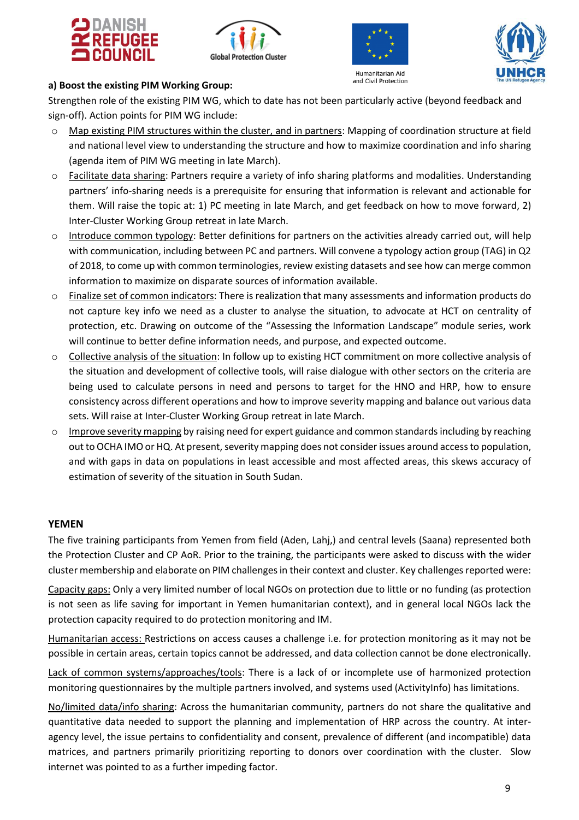







## **a) Boost the existing PIM Working Group:**

Strengthen role of the existing PIM WG, which to date has not been particularly active (beyond feedback and sign-off). Action points for PIM WG include:

- o Map existing PIM structures within the cluster, and in partners: Mapping of coordination structure at field and national level view to understanding the structure and how to maximize coordination and info sharing (agenda item of PIM WG meeting in late March).
- o Facilitate data sharing: Partners require a variety of info sharing platforms and modalities. Understanding partners' info-sharing needs is a prerequisite for ensuring that information is relevant and actionable for them. Will raise the topic at: 1) PC meeting in late March, and get feedback on how to move forward, 2) Inter-Cluster Working Group retreat in late March.
- $\circ$  Introduce common typology: Better definitions for partners on the activities already carried out, will help with communication, including between PC and partners. Will convene a typology action group (TAG) in Q2 of 2018, to come up with common terminologies, review existing datasets and see how can merge common information to maximize on disparate sources of information available.
- o Finalize set of common indicators: There is realization that many assessments and information products do not capture key info we need as a cluster to analyse the situation, to advocate at HCT on centrality of protection, etc. Drawing on outcome of the "Assessing the Information Landscape" module series, work will continue to better define information needs, and purpose, and expected outcome.
- o Collective analysis of the situation: In follow up to existing HCT commitment on more collective analysis of the situation and development of collective tools, will raise dialogue with other sectors on the criteria are being used to calculate persons in need and persons to target for the HNO and HRP, how to ensure consistency across different operations and how to improve severity mapping and balance out various data sets. Will raise at Inter-Cluster Working Group retreat in late March.
- $\circ$  Improve severity mapping by raising need for expert guidance and common standards including by reaching out to OCHA IMO or HQ. At present, severity mapping does not consider issues around access to population, and with gaps in data on populations in least accessible and most affected areas, this skews accuracy of estimation of severity of the situation in South Sudan.

#### <span id="page-8-0"></span>**YEMEN**

The five training participants from Yemen from field (Aden, Lahj,) and central levels (Saana) represented both the Protection Cluster and CP AoR. Prior to the training, the participants were asked to discuss with the wider cluster membership and elaborate on PIM challenges in their context and cluster. Key challenges reported were:

Capacity gaps: Only a very limited number of local NGOs on protection due to little or no funding (as protection is not seen as life saving for important in Yemen humanitarian context), and in general local NGOs lack the protection capacity required to do protection monitoring and IM.

Humanitarian access: Restrictions on access causes a challenge i.e. for protection monitoring as it may not be possible in certain areas, certain topics cannot be addressed, and data collection cannot be done electronically.

Lack of common systems/approaches/tools: There is a lack of or incomplete use of harmonized protection monitoring questionnaires by the multiple partners involved, and systems used (ActivityInfo) has limitations.

No/limited data/info sharing: Across the humanitarian community, partners do not share the qualitative and quantitative data needed to support the planning and implementation of HRP across the country. At interagency level, the issue pertains to confidentiality and consent, prevalence of different (and incompatible) data matrices, and partners primarily prioritizing reporting to donors over coordination with the cluster. Slow internet was pointed to as a further impeding factor.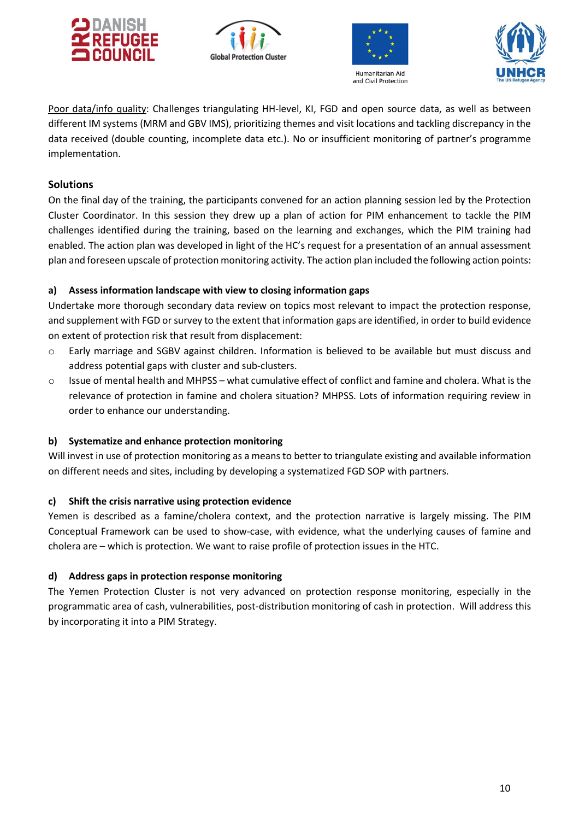







Poor data/info quality: Challenges triangulating HH-level, KI, FGD and open source data, as well as between different IM systems (MRM and GBV IMS), prioritizing themes and visit locations and tackling discrepancy in the data received (double counting, incomplete data etc.). No or insufficient monitoring of partner's programme implementation.

## **Solutions**

On the final day of the training, the participants convened for an action planning session led by the Protection Cluster Coordinator. In this session they drew up a plan of action for PIM enhancement to tackle the PIM challenges identified during the training, based on the learning and exchanges, which the PIM training had enabled. The action plan was developed in light of the HC's request for a presentation of an annual assessment plan and foreseen upscale of protection monitoring activity. The action plan included the following action points:

## **a) Assess information landscape with view to closing information gaps**

Undertake more thorough secondary data review on topics most relevant to impact the protection response, and supplement with FGD or survey to the extent that information gaps are identified, in order to build evidence on extent of protection risk that result from displacement:

- o Early marriage and SGBV against children. Information is believed to be available but must discuss and address potential gaps with cluster and sub-clusters.
- $\circ$  Issue of mental health and MHPSS what cumulative effect of conflict and famine and cholera. What is the relevance of protection in famine and cholera situation? MHPSS. Lots of information requiring review in order to enhance our understanding.

## **b) Systematize and enhance protection monitoring**

Will invest in use of protection monitoring as a means to better to triangulate existing and available information on different needs and sites, including by developing a systematized FGD SOP with partners.

#### **c) Shift the crisis narrative using protection evidence**

Yemen is described as a famine/cholera context, and the protection narrative is largely missing. The PIM Conceptual Framework can be used to show-case, with evidence, what the underlying causes of famine and cholera are – which is protection. We want to raise profile of protection issues in the HTC.

#### **d) Address gaps in protection response monitoring**

The Yemen Protection Cluster is not very advanced on protection response monitoring, especially in the programmatic area of cash, vulnerabilities, post-distribution monitoring of cash in protection. Will address this by incorporating it into a PIM Strategy.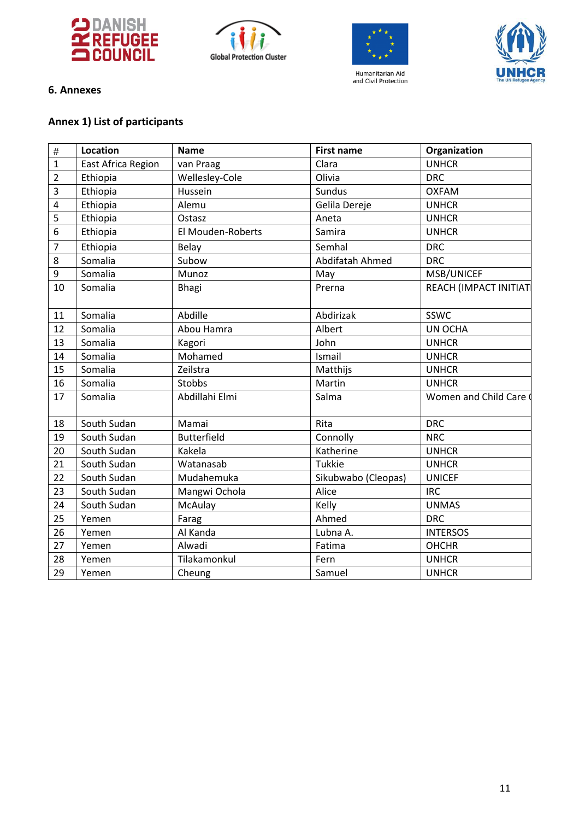







## <span id="page-10-0"></span>**6. Annexes**

# **Annex 1) List of participants**

| $\#$             | Location           | <b>Name</b>        | <b>First name</b>   | Organization          |  |
|------------------|--------------------|--------------------|---------------------|-----------------------|--|
| $\mathbf{1}$     | East Africa Region | van Praag          | Clara               | <b>UNHCR</b>          |  |
| $\overline{2}$   | Ethiopia           | Wellesley-Cole     | Olivia              | <b>DRC</b>            |  |
| $\overline{3}$   | Ethiopia           | Hussein            | Sundus              | <b>OXFAM</b>          |  |
| $\sqrt{4}$       | Ethiopia           | Alemu              | Gelila Dereje       | <b>UNHCR</b>          |  |
| 5                | Ethiopia           | Ostasz             | Aneta               | <b>UNHCR</b>          |  |
| $6\,$            | Ethiopia           | El Mouden-Roberts  | Samira              | <b>UNHCR</b>          |  |
| $\overline{7}$   | Ethiopia           | Belay              | Semhal              | <b>DRC</b>            |  |
| $\,8\,$          | Somalia            | Subow              | Abdifatah Ahmed     | <b>DRC</b>            |  |
| $\boldsymbol{9}$ | Somalia            | Munoz              | May                 | MSB/UNICEF            |  |
| 10               | Somalia            | Bhagi              | Prerna              | REACH (IMPACT INITIAT |  |
| 11               | Somalia            | Abdille            | Abdirizak           | SSWC                  |  |
| 12               | Somalia            | Abou Hamra         | Albert              | UN OCHA               |  |
| 13               | Somalia            | Kagori             | John                | <b>UNHCR</b>          |  |
| 14               | Somalia            | Mohamed            | Ismail              | <b>UNHCR</b>          |  |
| 15               | Somalia            | Zeilstra           | Matthijs            | <b>UNHCR</b>          |  |
| 16               | Somalia            | Stobbs             | Martin              | <b>UNHCR</b>          |  |
| 17               | Somalia            | Abdillahi Elmi     | Salma               | Women and Child Care  |  |
| 18               | South Sudan        | Mamai              | Rita                | <b>DRC</b>            |  |
| 19               | South Sudan        | <b>Butterfield</b> | Connolly            | <b>NRC</b>            |  |
| 20               | South Sudan        | Kakela             | Katherine           | <b>UNHCR</b>          |  |
| 21               | South Sudan        | Watanasab          | Tukkie              | <b>UNHCR</b>          |  |
| 22               | South Sudan        | Mudahemuka         | Sikubwabo (Cleopas) | <b>UNICEF</b>         |  |
| 23               | South Sudan        | Mangwi Ochola      | Alice               | <b>IRC</b>            |  |
| 24               | South Sudan        | McAulay            | Kelly               | <b>UNMAS</b>          |  |
| 25               | Yemen              | Farag              | Ahmed               | <b>DRC</b>            |  |
| 26               | Yemen              | Al Kanda           | Lubna A.            | <b>INTERSOS</b>       |  |
| 27               | Yemen              | Alwadi             | Fatima              | <b>OHCHR</b>          |  |
| 28               | Yemen              | Tilakamonkul       | Fern                | <b>UNHCR</b>          |  |
| 29               | Yemen              | Cheung             | Samuel              | <b>UNHCR</b>          |  |